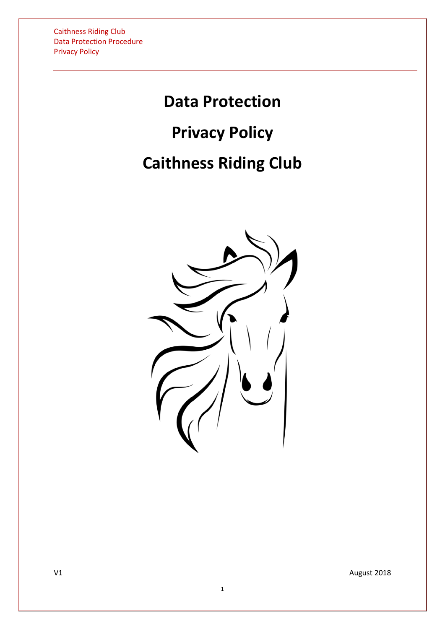# **Data Protection**

## **Privacy Policy**

# **Caithness Riding Club**

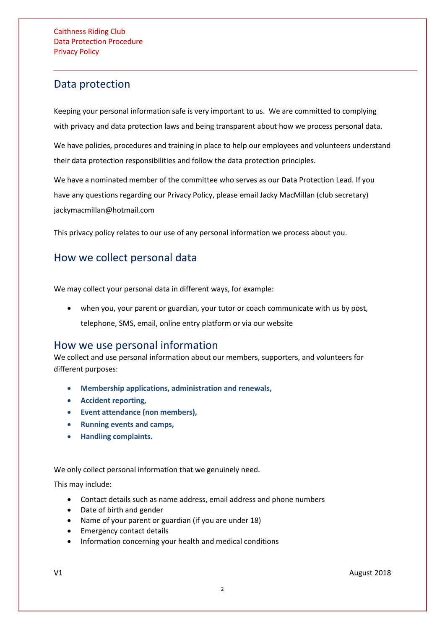## Data protection

Keeping your personal information safe is very important to us. We are committed to complying with privacy and data protection laws and being transparent about how we process personal data.

We have policies, procedures and training in place to help our employees and volunteers understand their data protection responsibilities and follow the data protection principles.

We have a nominated member of the committee who serves as our Data Protection Lead. If you have any questions regarding our Privacy Policy, please email Jacky MacMillan (club secretary) jackymacmillan@hotmail.com

This privacy policy relates to our use of any personal information we process about you.

## How we collect personal data

We may collect your personal data in different ways, for example:

• when you, your parent or guardian, your tutor or coach communicate with us by post, telephone, SMS, email, online entry platform or via our website

### How we use personal information

We collect and use personal information about our members, supporters, and volunteers for different purposes:

- **Membership applications, administration and renewals,**
- **Accident reporting,**
- **Event attendance (non members),**
- **[Running events and camps,](#page-2-0)**
- **Handling complaints.**

We only collect personal information that we genuinely need.

This may include:

- Contact details such as name address, email address and phone numbers
- Date of birth and gender
- Name of your parent or guardian (if you are under 18)
- Emergency contact details
- Information concerning your health and medical conditions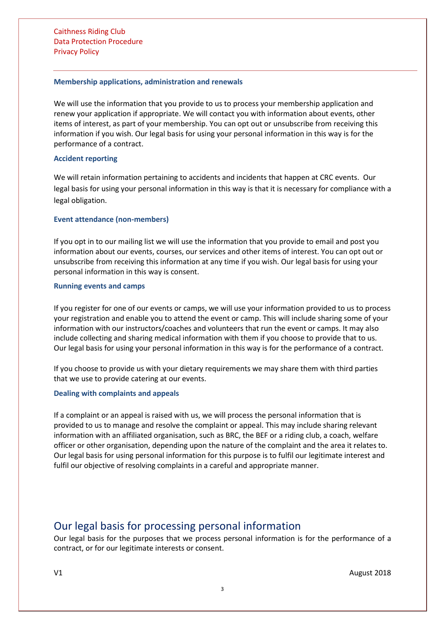Caithness Riding Club Data Protection Procedure Privacy Policy

#### **Membership applications, administration and renewals**

We will use the information that you provide to us to process your membership application and renew your application if appropriate. We will contact you with information about events, other items of interest, as part of your membership. You can opt out or unsubscribe from receiving this information if you wish. Our legal basis for using your personal information in this way is for the performance of a contract.

#### **Accident reporting**

We will retain information pertaining to accidents and incidents that happen at CRC events.Our legal basis for using your personal information in this way is that it is necessary for compliance with a legal obligation.

#### **Event attendance (non-members)**

If you opt in to our mailing list we will use the information that you provide to email and post you information about our events, courses, our services and other items of interest. You can opt out or unsubscribe from receiving this information at any time if you wish. Our legal basis for using your personal information in this way is consent.

#### <span id="page-2-0"></span>**Running events and camps**

If you register for one of our events or camps, we will use your information provided to us to process your registration and enable you to attend the event or camp. This will include sharing some of your information with our instructors/coaches and volunteers that run the event or camps. It may also include collecting and sharing medical information with them if you choose to provide that to us. Our legal basis for using your personal information in this way is for the performance of a contract.

If you choose to provide us with your dietary requirements we may share them with third parties that we use to provide catering at our events.

#### **Dealing with complaints and appeals**

If a complaint or an appeal is raised with us, we will process the personal information that is provided to us to manage and resolve the complaint or appeal. This may include sharing relevant information with an affiliated organisation, such as BRC, the BEF or a riding club, a coach, welfare officer or other organisation, depending upon the nature of the complaint and the area it relates to. Our legal basis for using personal information for this purpose is to fulfil our legitimate interest and fulfil our objective of resolving complaints in a careful and appropriate manner.

## Our legal basis for processing personal information

Our legal basis for the purposes that we process personal information is for the performance of a contract, or for our legitimate interests or consent.

3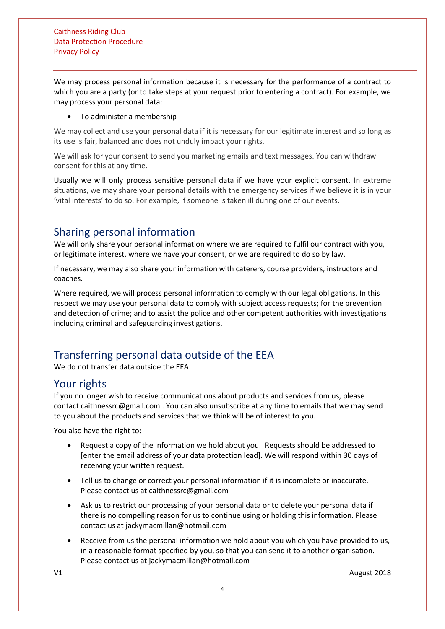We may process personal information because it is necessary for the performance of a contract to which you are a party (or to take steps at your request prior to entering a contract). For example, we may process your personal data:

#### • To administer a membership

We may collect and use your personal data if it is necessary for our legitimate interest and so long as its use is fair, balanced and does not unduly impact your rights.

We will ask for your consent to send you marketing emails and text messages. You can withdraw consent for this at any time.

Usually we will only process sensitive personal data if we have your explicit consent. In extreme situations, we may share your personal details with the emergency services if we believe it is in your 'vital interests' to do so. For example, if someone is taken ill during one of our events.

## Sharing personal information

We will only share your personal information where we are required to fulfil our contract with you, or legitimate interest, where we have your consent, or we are required to do so by law.

If necessary, we may also share your information with caterers, course providers, instructors and coaches.

Where required, we will process personal information to comply with our legal obligations. In this respect we may use your personal data to comply with subject access requests; for the prevention and detection of crime; and to assist the police and other competent authorities with investigations including criminal and safeguarding investigations.

## Transferring personal data outside of the EEA

We do not transfer data outside the EEA.

### Your rights

If you no longer wish to receive communications about products and services from us, please contact caithnessrc@gmail.com . You can also unsubscribe at any time to emails that we may send to you about the products and services that we think will be of interest to you.

You also have the right to:

- Request a copy of the information we hold about you. Requests should be addressed to [enter the email address of your data protection lead]. We will respond within 30 days of receiving your written request.
- Tell us to change or correct your personal information if it is incomplete or inaccurate. Please contact us at caithnessrc@gmail.com
- Ask us to restrict our processing of your personal data or to delete your personal data if there is no compelling reason for us to continue using or holding this information. Please contact us at jackymacmillan@hotmail.com
- Receive from us the personal information we hold about you which you have provided to us, in a reasonable format specified by you, so that you can send it to another organisation. Please contact us at jackymacmillan@hotmail.com